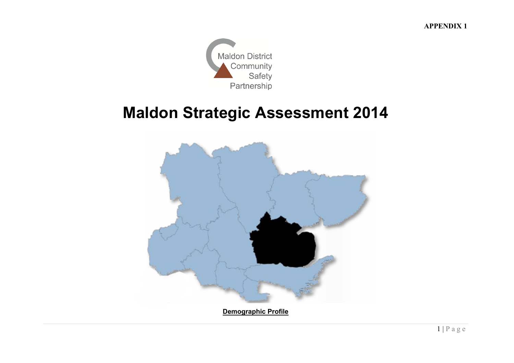**APPENDIX 1**



# **Maldon Strategic Assessment 2014**

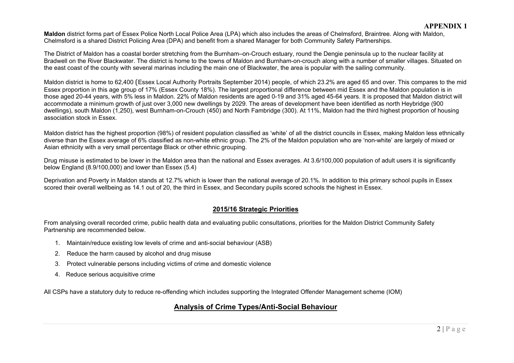**Maldon** district forms part of Essex Police North Local Police Area (LPA) which also includes the areas of Chelmsford, Braintree. Along with Maldon, Chelmsford is a shared District Policing Area (DPA) and benefit from a shared Manager for both Community Safety Partnerships.

The District of Maldon has a coastal border stretching from the Burnham–on-Crouch estuary, round the Dengie peninsula up to the nuclear facility at Bradwell on the River Blackwater. The district is home to the towns of Maldon and Burnham-on-crouch along with a number of smaller villages. Situated on the east coast of the county with several marinas including the main one of Blackwater, the area is popular with the sailing community.

Maldon district is home to 62,400 (Essex Local Authority Portraits September 2014) people, of which 23.2% are aged 65 and over. This compares to the mid Essex proportion in this age group of 17% (Essex County 18%). The largest proportional difference between mid Essex and the Maldon population is in those aged 20-44 years, with 5% less in Maldon. 22% of Maldon residents are aged 0-19 and 31% aged 45-64 years. It is proposed that Maldon district will accommodate a minimum growth of just over 3,000 new dwellings by 2029. The areas of development have been identified as north Heybridge (900 dwellings), south Maldon (1,250), west Burnham-on-Crouch (450) and North Fambridge (300). At 11%, Maldon had the third highest proportion of housing association stock in Essex.

Maldon district has the highest proportion (98%) of resident population classified as 'white' of all the district councils in Essex, making Maldon less ethnically diverse than the Essex average of 6% classified as non-white ethnic group. The 2% of the Maldon population who are 'non-white' are largely of mixed or Asian ethnicity with a very small percentage Black or other ethnic grouping.

Drug misuse is estimated to be lower in the Maldon area than the national and Essex averages. At 3.6/100,000 population of adult users it is significantly below England (8.9/100,000) and lower than Essex (5.4)

Deprivation and Poverty in Maldon stands at 12.7% which is lower than the national average of 20.1%. In addition to this primary school pupils in Essex scored their overall wellbeing as 14.1 out of 20, the third in Essex, and Secondary pupils scored schools the highest in Essex.

## **2015/16 Strategic Priorities**

From analysing overall recorded crime, public health data and evaluating public consultations, priorities for the Maldon District Community Safety Partnership are recommended below.

- 1. Maintain/reduce existing low levels of crime and anti-social behaviour (ASB)
- 2. Reduce the harm caused by alcohol and drug misuse
- 3. Protect vulnerable persons including victims of crime and domestic violence
- 4. Reduce serious acquisitive crime

All CSPs have a statutory duty to reduce re-offending which includes supporting the Integrated Offender Management scheme (IOM)

# **Analysis of Crime Types/Anti-Social Behaviour**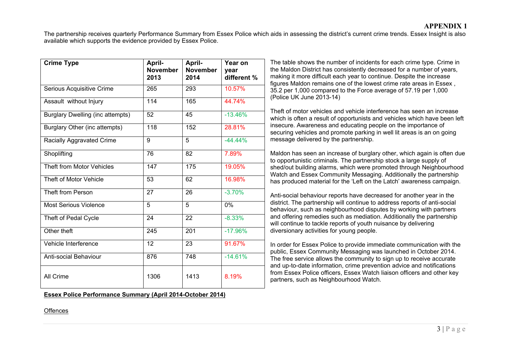The partnership receives quarterly Performance Summary from Essex Police which aids in assessing the district's current crime trends. Essex Insight is also available which supports the evidence provided by Essex Police.

| <b>Crime Type</b>                       | April-<br><b>November</b><br>2013 | April-<br><b>November</b><br>2014 | Year on<br>year<br>different % | The table shows the number of incidents for each crime type. Crime in<br>the Maldon District has consistently decreased for a number of years,<br>making it more difficult each year to continue. Despite the increase                                                                                                               |  |
|-----------------------------------------|-----------------------------------|-----------------------------------|--------------------------------|--------------------------------------------------------------------------------------------------------------------------------------------------------------------------------------------------------------------------------------------------------------------------------------------------------------------------------------|--|
| Serious Acquisitive Crime               | 265                               | 293                               | 10.57%                         | figures Maldon remains one of the lowest crime rate areas in Essex,<br>35.2 per 1,000 compared to the Force average of 57.19 per 1,000                                                                                                                                                                                               |  |
| Assault without Injury                  | 114                               | 165                               | 44.74%                         | (Police UK June 2013-14)                                                                                                                                                                                                                                                                                                             |  |
| <b>Burglary Dwelling (inc attempts)</b> | 52                                | 45                                | $-13.46%$                      | Theft of motor vehicles and vehicle interference has seen an increase<br>which is often a result of opportunists and vehicles which have been left<br>insecure. Awareness and educating people on the importance of<br>securing vehicles and promote parking in well lit areas is an on going                                        |  |
| Burglary Other (inc attempts)           | 118                               | 152                               | 28.81%                         |                                                                                                                                                                                                                                                                                                                                      |  |
| Racially Aggravated Crime               | 9                                 | 5                                 | $-44.44%$                      | message delivered by the partnership.                                                                                                                                                                                                                                                                                                |  |
| Shoplifting                             | 76                                | 82                                | 7.89%                          | Maldon has seen an increase of burglary other, which again is often due<br>to opportunistic criminals. The partnership stock a large supply of                                                                                                                                                                                       |  |
| Theft from Motor Vehicles               | 147                               | 175                               | 19.05%                         | shed/out building alarms, which were promoted through Neighbourhood                                                                                                                                                                                                                                                                  |  |
| Theft of Motor Vehicle                  | 53                                | 62                                | 16.98%                         | Watch and Essex Community Messaging. Additionally the partnership<br>has produced material for the 'Left on the Latch' awareness campaign.                                                                                                                                                                                           |  |
| Theft from Person                       | 27                                | 26                                | $-3.70%$                       | Anti-social behaviour reports have decreased for another year in the                                                                                                                                                                                                                                                                 |  |
| <b>Most Serious Violence</b>            | 5                                 | 5                                 | $0\%$                          | district. The partnership will continue to address reports of anti-social<br>behaviour, such as neighbourhood disputes by working with partners                                                                                                                                                                                      |  |
| Theft of Pedal Cycle                    | 24                                | 22                                | $-8.33%$                       | and offering remedies such as mediation. Additionally the partnership<br>will continue to tackle reports of youth nuisance by delivering                                                                                                                                                                                             |  |
| Other theft                             | 245                               | 201                               | $-17.96%$                      | diversionary activities for young people.                                                                                                                                                                                                                                                                                            |  |
| Vehicle Interference                    | 12                                | 23                                | 91.67%                         | In order for Essex Police to provide immediate communication with the                                                                                                                                                                                                                                                                |  |
| Anti-social Behaviour                   | 876                               | 748                               | $-14.61%$                      | public, Essex Community Messaging was launched in October 2014.<br>The free service allows the community to sign up to receive accurate<br>and up-to-date information, crime prevention advice and notifications<br>from Essex Police officers, Essex Watch liaison officers and other key<br>partners, such as Neighbourhood Watch. |  |
| All Crime                               | 1306                              | 1413                              | 8.19%                          |                                                                                                                                                                                                                                                                                                                                      |  |

**Essex Police Performance Summary (April 2014-October 2014)**

### **Offences**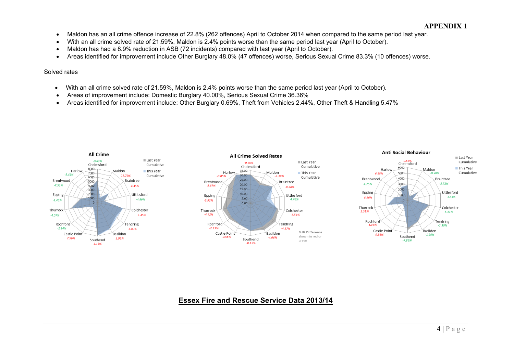- Maldon has an all crime offence increase of 22.8% (262 offences) April to October 2014 when compared to the same period last year.
- With an all crime solved rate of 21.59%, Maldon is 2.4% points worse than the same period last year (April to October).
- Maldon has had a 8.9% reduction in ASB (72 incidents) compared with last year (April to October).
- Areas identified for improvement include Other Burglary 48.0% (47 offences) worse, Serious Sexual Crime 83.3% (10 offences) worse.

#### Solved rates

- With an all crime solved rate of 21.59%, Maldon is 2.4% points worse than the same period last year (April to October).
- Areas of improvement include: Domestic Burglary 40.00%, Serious Sexual Crime 36.36%
- Areas identified for improvement include: Other Burglary 0.69%, Theft from Vehicles 2.44%, Other Theft & Handling 5.47%







# **Essex Fire and Rescue Service Data 2013/14**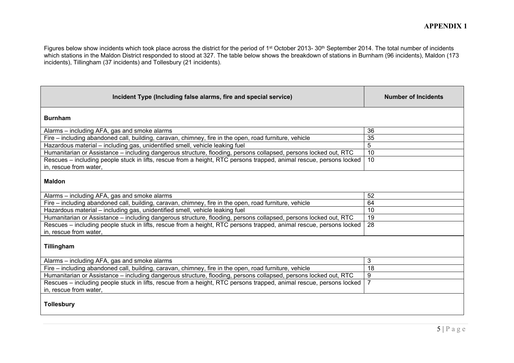Figures below show incidents which took place across the district for the period of 1st October 2013- 30<sup>th</sup> September 2014. The total number of incidents which stations in the Maldon District responded to stood at 327. The table below shows the breakdown of stations in Burnham (96 incidents), Maldon (173 incidents), Tillingham (37 incidents) and Tollesbury (21 incidents).

| Incident Type (Including false alarms, fire and special service)                                                                              | <b>Number of Incidents</b> |
|-----------------------------------------------------------------------------------------------------------------------------------------------|----------------------------|
| <b>Burnham</b>                                                                                                                                |                            |
| Alarms – including AFA, gas and smoke alarms                                                                                                  | 36                         |
| Fire – including abandoned call, building, caravan, chimney, fire in the open, road furniture, vehicle                                        | 35                         |
| Hazardous material - including gas, unidentified smell, vehicle leaking fuel                                                                  | 5                          |
| Humanitarian or Assistance – including dangerous structure, flooding, persons collapsed, persons locked out, RTC                              | 10                         |
| Rescues – including people stuck in lifts, rescue from a height, RTC persons trapped, animal rescue, persons locked<br>in, rescue from water, | 10                         |
| <b>Maldon</b>                                                                                                                                 |                            |
| Alarms – including AFA, gas and smoke alarms                                                                                                  | 52                         |
| Fire - including abandoned call, building, caravan, chimney, fire in the open, road furniture, vehicle                                        | 64                         |
| Hazardous material - including gas, unidentified smell, vehicle leaking fuel                                                                  | 10                         |
| Humanitarian or Assistance - including dangerous structure, flooding, persons collapsed, persons locked out, RTC                              | 19                         |
| Rescues - including people stuck in lifts, rescue from a height, RTC persons trapped, animal rescue, persons locked<br>in, rescue from water, | 28                         |
| Tillingham                                                                                                                                    |                            |
| Alarms – including AFA, gas and smoke alarms                                                                                                  | 3                          |
| Fire – including abandoned call, building, caravan, chimney, fire in the open, road furniture, vehicle                                        | 18                         |
| Humanitarian or Assistance – including dangerous structure, flooding, persons collapsed, persons locked out, RTC                              | 9                          |
| Rescues – including people stuck in lifts, rescue from a height, RTC persons trapped, animal rescue, persons locked<br>in, rescue from water, | $\overline{7}$             |
| <b>Tollesbury</b>                                                                                                                             |                            |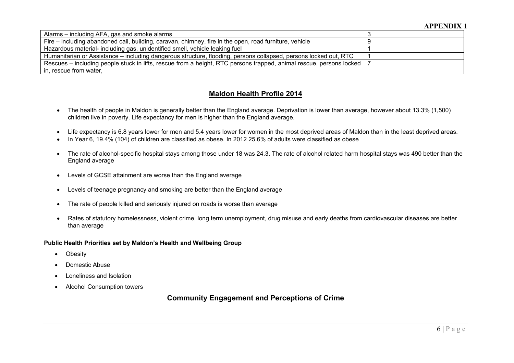| Alarms – including AFA, gas and smoke alarms                                                                            |  |
|-------------------------------------------------------------------------------------------------------------------------|--|
| Fire – including abandoned call, building, caravan, chimney, fire in the open, road furniture, vehicle                  |  |
| Hazardous material- including gas, unidentified smell, vehicle leaking fuel                                             |  |
| Humanitarian or Assistance – including dangerous structure, flooding, persons collapsed, persons locked out, RTC        |  |
| Rescues – including people stuck in lifts, rescue from a height, RTC persons trapped, animal rescue, persons locked   7 |  |
| in, rescue from water,                                                                                                  |  |

## **Maldon Health Profile 2014**

- The health of people in Maldon is generally better than the England average. Deprivation is lower than average, however about 13.3% (1,500) children live in poverty. Life expectancy for men is higher than the England average.
- Life expectancy is 6.8 years lower for men and 5.4 years lower for women in the most deprived areas of Maldon than in the least deprived areas.
- In Year 6, 19.4% (104) of children are classified as obese. In 2012 25.6% of adults were classified as obese
- The rate of alcohol-specific hospital stays among those under 18 was 24.3. The rate of alcohol related harm hospital stays was 490 better than the England average
- Levels of GCSE attainment are worse than the England average
- Levels of teenage pregnancy and smoking are better than the England average
- The rate of people killed and seriously injured on roads is worse than average
- Rates of statutory homelessness, violent crime, long term unemployment, drug misuse and early deaths from cardiovascular diseases are better than average

#### **Public Health Priorities set by Maldon's Health and Wellbeing Group**

- Obesity
- Domestic Abuse
- Loneliness and Isolation
- Alcohol Consumption towers

**Community Engagement and Perceptions of Crime**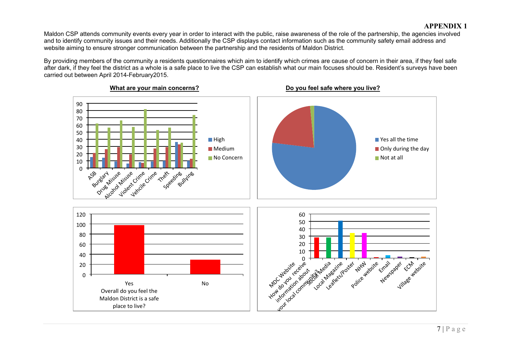Maldon CSP attends community events every year in order to interact with the public, raise awareness of the role of the partnership, the agencies involved and to identify community issues and their needs. Additionally the CSP displays contact information such as the community safety email address and website aiming to ensure stronger communication between the partnership and the residents of Maldon District.

By providing members of the community a residents questionnaires which aim to identify which crimes are cause of concern in their area, if they feel safe after dark, if they feel the district as a whole is a safe place to live the CSP can establish what our main focuses should be. Resident's surveys have been carried out between April 2014-February2015.



 $7 | P a g e$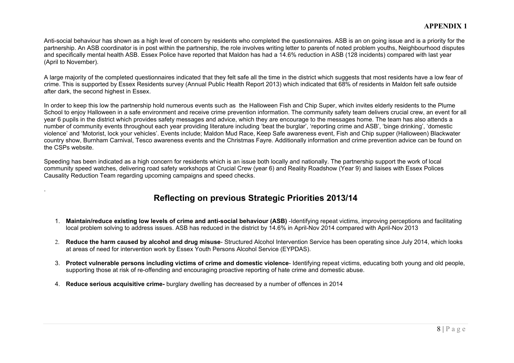## **APPENDIX 1**

Anti-social behaviour has shown as a high level of concern by residents who completed the questionnaires. ASB is an on going issue and is a priority for the partnership. An ASB coordinator is in post within the partnership, the role involves writing letter to parents of noted problem youths, Neighbourhood disputes and specifically mental health ASB. Essex Police have reported that Maldon has had a 14.6% reduction in ASB (128 incidents) compared with last year (April to November).

A large majority of the completed questionnaires indicated that they felt safe all the time in the district which suggests that most residents have a low fear of crime. This is supported by Essex Residents survey (Annual Public Health Report 2013) which indicated that 68% of residents in Maldon felt safe outside after dark, the second highest in Essex.

In order to keep this low the partnership hold numerous events such as the Halloween Fish and Chip Super, which invites elderly residents to the Plume School to enjoy Halloween in a safe environment and receive crime prevention information. The community safety team delivers crucial crew, an event for all year 6 pupils in the district which provides safety messages and advice, which they are encourage to the messages home. The team has also attends a number of community events throughout each year providing literature including 'beat the burglar', 'reporting crime and ASB', 'binge drinking', 'domestic violence' and 'Motorist, lock your vehicles'. Events include; Maldon Mud Race, Keep Safe awareness event, Fish and Chip supper (Halloween) Blackwater country show, Burnham Carnival, Tesco awareness events and the Christmas Fayre. Additionally information and crime prevention advice can be found on the CSPs website.

Speeding has been indicated as a high concern for residents which is an issue both locally and nationally. The partnership support the work of local community speed watches, delivering road safety workshops at Crucial Crew (year 6) and Reality Roadshow (Year 9) and liaises with Essex Polices Causality Reduction Team regarding upcoming campaigns and speed checks.

# **Reflecting on previous Strategic Priorities 2013/14**

- 1. **Maintain/reduce existing low levels of crime and anti-social behaviour (ASB)** -Identifying repeat victims, improving perceptions and facilitating local problem solving to address issues. ASB has reduced in the district by 14.6% in April-Nov 2014 compared with April-Nov 2013
- 2. **Reduce the harm caused by alcohol and drug misuse** Structured Alcohol Intervention Service has been operating since July 2014, which looks at areas of need for intervention work by Essex Youth Persons Alcohol Service (EYPDAS).
- 3. **Protect vulnerable persons including victims of crime and domestic violence** Identifying repeat victims, educating both young and old people, supporting those at risk of re-offending and encouraging proactive reporting of hate crime and domestic abuse.
- 4. **Reduce serious acquisitive crime-** burglary dwelling has decreased by a number of offences in 2014

.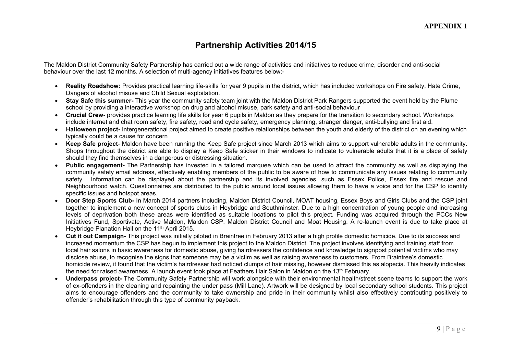# **Partnership Activities 2014/15**

The Maldon District Community Safety Partnership has carried out a wide range of activities and initiatives to reduce crime, disorder and anti-social behaviour over the last 12 months. A selection of multi-agency initiatives features below:-

- **Reality Roadshow:** Provides practical learning life-skills for year 9 pupils in the district, which has included workshops on Fire safety, Hate Crime, Dangers of alcohol misuse and Child Sexual exploitation.
- **Stay Safe this summer-** This year the community safety team joint with the Maldon District Park Rangers supported the event held by the Plume school by providing a interactive workshop on drug and alcohol misuse, park safety and anti-social behaviour
- **Crucial Crew-** provides practice learning life skills for year 6 pupils in Maldon as they prepare for the transition to secondary school. Workshops include internet and chat room safety, fire safety, road and cycle safety, emergency planning, stranger danger, anti-bullying and first aid.
- **Halloween project-** Intergenerational project aimed to create positive relationships between the youth and elderly of the district on an evening which typically could be a cause for concern
- **Keep Safe project** Maldon have been running the Keep Safe project since March 2013 which aims to support vulnerable adults in the community. Shops throughout the district are able to display a Keep Safe sticker in their windows to indicate to vulnerable adults that it is a place of safety should they find themselves in a dangerous or distressing situation.
- **Public engagement-** The Partnership has invested in a tailored marquee which can be used to attract the community as well as displaying the community safety email address, effectively enabling members of the public to be aware of how to communicate any issues relating to community safety. Information can be displayed about the partnership and its involved agencies, such as Essex Police, Essex fire and rescue and Neighbourhood watch. Questionnaires are distributed to the public around local issues allowing them to have a voice and for the CSP to identify specific issues and hotspot areas.
- **Door Step Sports Club-** In March 2014 partners including, Maldon District Council, MOAT housing, Essex Boys and Girls Clubs and the CSP joint together to implement a new concept of sports clubs in Heybridge and Southminster. Due to a high concentration of young people and increasing levels of deprivation both these areas were identified as suitable locations to pilot this project. Funding was acquired through the PCCs New Initiatives Fund, Sportivate, Active Maldon, Maldon CSP, Maldon District Council and Moat Housing. A re-launch event is due to take place at Heybridge Planation Hall on the 11<sup>th</sup> April 2015.
- **Cut it out Campaign-** This project was initially piloted in Braintree in February 2013 after a high profile domestic homicide. Due to its success and increased momentum the CSP has begun to implement this project to the Maldon District. The project involves identifying and training staff from local hair salons in basic awareness for domestic abuse, giving hairdressers the confidence and knowledge to signpost potential victims who may disclose abuse, to recognise the signs that someone may be a victim as well as raising awareness to customers. From Braintree's domestic homicide review, it found that the victim's hairdresser had noticed clumps of hair missing, however dismissed this as alopecia. This heavily indicates the need for raised awareness. A launch event took place at Feathers Hair Salon in Maldon on the 13<sup>th</sup> February.
- **Underpass project-** The Community Safety Partnership will work alongside with their environmental health/street scene teams to support the work of ex-offenders in the cleaning and repainting the under pass (Mill Lane). Artwork will be designed by local secondary school students. This project aims to encourage offenders and the community to take ownership and pride in their community whilst also effectively contributing positively to offender's rehabilitation through this type of community payback.